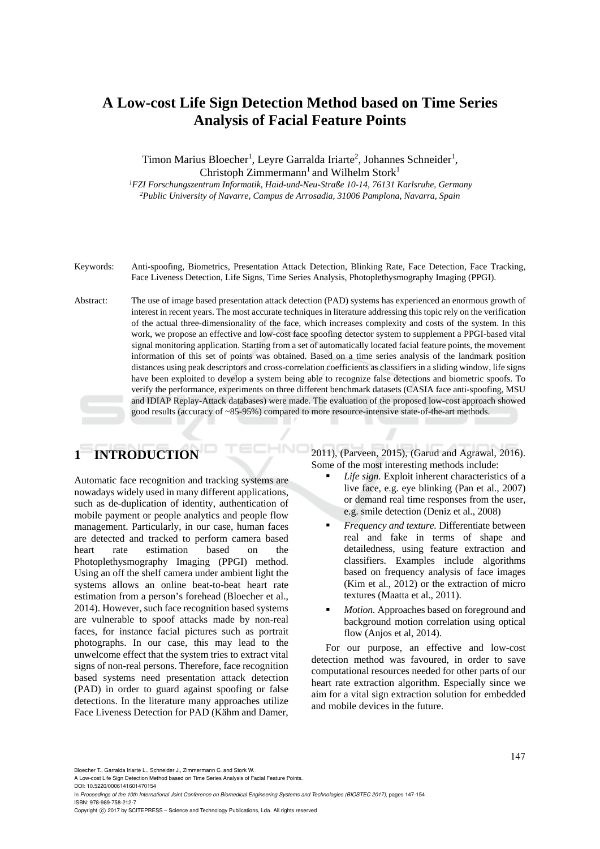# **A Low-cost Life Sign Detection Method based on Time Series Analysis of Facial Feature Points**

Timon Marius Bloecher<sup>1</sup>, Leyre Garralda Iriarte<sup>2</sup>, Johannes Schneider<sup>1</sup>, Christoph Zimmermann<sup>1</sup> and Wilhelm Stork<sup>1</sup><br><sup>1</sup>FZI Forschungszentrum Informatik. Haid-und-Neu-Straße 10-14. 76131 Karlsruhe. Germany

<sup>2</sup>Public University of Navarre, Campus de Arrosadia, 31006 Pamplona, Navarra, Spain

Keywords: Anti-spoofing, Biometrics, Presentation Attack Detection, Blinking Rate, Face Detection, Face Tracking, Face Liveness Detection, Life Signs, Time Series Analysis, Photoplethysmography Imaging (PPGI).

Abstract: The use of image based presentation attack detection (PAD) systems has experienced an enormous growth of interest in recent years. The most accurate techniques in literature addressing this topic rely on the verification of the actual three-dimensionality of the face, which increases complexity and costs of the system. In this work, we propose an effective and low-cost face spoofing detector system to supplement a PPGI-based vital signal monitoring application. Starting from a set of automatically located facial feature points, the movement information of this set of points was obtained. Based on a time series analysis of the landmark position distances using peak descriptors and cross-correlation coefficients as classifiers in a sliding window, life signs have been exploited to develop a system being able to recognize false detections and biometric spoofs. To verify the performance, experiments on three different benchmark datasets (CASIA face anti-spoofing, MSU and IDIAP Replay-Attack databases) were made. The evaluation of the proposed low-cost approach showed good results (accuracy of ~85-95%) compared to more resource-intensive state-of-the-art methods.

# **1 INTRODUCTION**

Automatic face recognition and tracking systems are nowadays widely used in many different applications, such as de-duplication of identity, authentication of mobile payment or people analytics and people flow management. Particularly, in our case, human faces are detected and tracked to perform camera based heart rate estimation based on the Photoplethysmography Imaging (PPGI) method. Using an off the shelf camera under ambient light the systems allows an online beat-to-beat heart rate estimation from a person's forehead (Bloecher et al., 2014). However, such face recognition based systems are vulnerable to spoof attacks made by non-real faces, for instance facial pictures such as portrait photographs. In our case, this may lead to the unwelcome effect that the system tries to extract vital signs of non-real persons. Therefore, face recognition based systems need presentation attack detection (PAD) in order to guard against spoofing or false detections. In the literature many approaches utilize Face Liveness Detection for PAD (Kähm and Damer, 2011), (Parveen, 2015), (Garud and Agrawal, 2016). Some of the most interesting methods include:

- *Life sign.* Exploit inherent characteristics of a live face, e.g. eye blinking (Pan et al., 2007) or demand real time responses from the user, e.g. smile detection (Deniz et al., 2008)
- *Frequency and texture.* Differentiate between real and fake in terms of shape and detailedness, using feature extraction and classifiers. Examples include algorithms based on frequency analysis of face images (Kim et al., 2012) or the extraction of micro textures (Maatta et al., 2011).
- *Motion.* Approaches based on foreground and background motion correlation using optical flow (Anjos et al, 2014).

For our purpose, an effective and low-cost detection method was favoured, in order to save computational resources needed for other parts of our heart rate extraction algorithm. Especially since we aim for a vital sign extraction solution for embedded and mobile devices in the future.

Bloecher T., Garralda Iriarte L., Schneider J., Zimmermann C. and Stork W.

A Low-cost Life Sign Detection Method based on Time Series Analysis of Facial Feature Points.

In *Proceedings of the 10th International Joint Conference on Biomedical Engineering Systems and Technologies (BIOSTEC 2017)*, pages 147-154 ISBN: 978-989-758-212-7

DOI: 10.5220/0006141601470154

Copyright (C) 2017 by SCITEPRESS - Science and Technology Publications, Lda. All rights reserved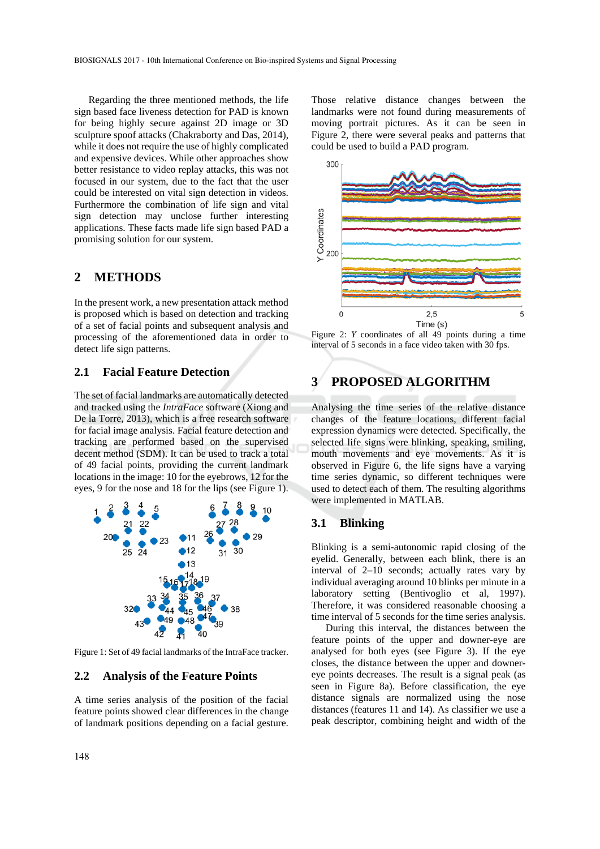Regarding the three mentioned methods, the life sign based face liveness detection for PAD is known for being highly secure against 2D image or 3D sculpture spoof attacks (Chakraborty and Das, 2014), while it does not require the use of highly complicated and expensive devices. While other approaches show better resistance to video replay attacks, this was not focused in our system, due to the fact that the user could be interested on vital sign detection in videos. Furthermore the combination of life sign and vital sign detection may unclose further interesting applications. These facts made life sign based PAD a promising solution for our system.

### **2 METHODS**

In the present work, a new presentation attack method is proposed which is based on detection and tracking of a set of facial points and subsequent analysis and processing of the aforementioned data in order to detect life sign patterns.

### **2.1 Facial Feature Detection**

The set of facial landmarks are automatically detected and tracked using the *IntraFace* software (Xiong and De la Torre, 2013), which is a free research software for facial image analysis. Facial feature detection and tracking are performed based on the supervised decent method (SDM). It can be used to track a total of 49 facial points, providing the current landmark locations in the image: 10 for the eyebrows, 12 for the eyes, 9 for the nose and 18 for the lips (see Figure 1).



Figure 1: Set of 49 facial landmarks of the IntraFace tracker.

#### **2.2 Analysis of the Feature Points**

A time series analysis of the position of the facial feature points showed clear differences in the change of landmark positions depending on a facial gesture.

Those relative distance changes between the landmarks were not found during measurements of moving portrait pictures. As it can be seen in Figure 2, there were several peaks and patterns that could be used to build a PAD program.



Figure 2: *Y* coordinates of all 49 points during a time interval of 5 seconds in a face video taken with 30 fps.

# **3 PROPOSED ALGORITHM**

Analysing the time series of the relative distance changes of the feature locations, different facial expression dynamics were detected. Specifically, the selected life signs were blinking, speaking, smiling, mouth movements and eye movements. As it is observed in Figure 6, the life signs have a varying time series dynamic, so different techniques were used to detect each of them. The resulting algorithms were implemented in MATLAB.

#### **3.1 Blinking**

Blinking is a semi-autonomic rapid closing of the eyelid. Generally, between each blink, there is an interval of 2–10 seconds; actually rates vary by individual averaging around 10 blinks per minute in a laboratory setting (Bentivoglio et al, 1997). Therefore, it was considered reasonable choosing a time interval of 5 seconds for the time series analysis.

During this interval, the distances between the feature points of the upper and downer-eye are analysed for both eyes (see Figure 3). If the eye closes, the distance between the upper and downereye points decreases. The result is a signal peak (as seen in Figure 8a). Before classification, the eye distance signals are normalized using the nose distances (features 11 and 14). As classifier we use a peak descriptor, combining height and width of the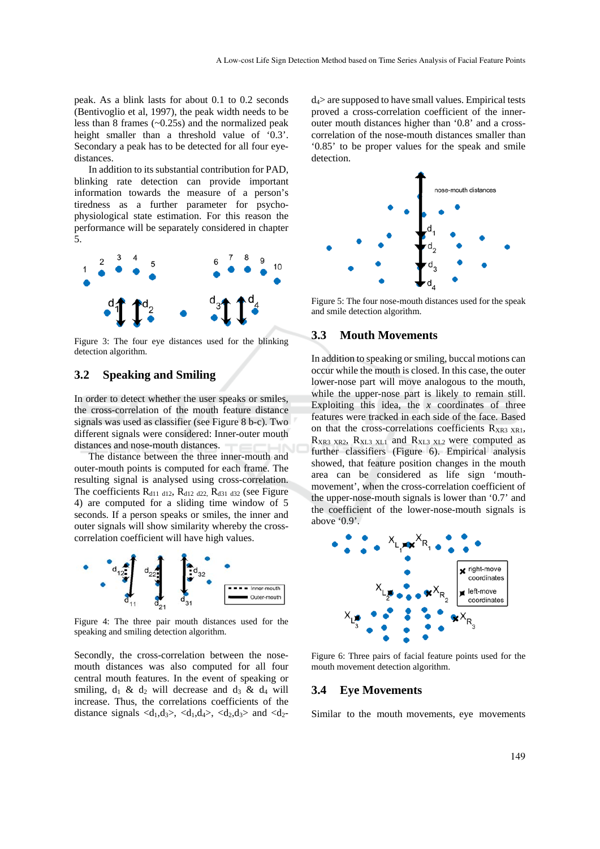peak. As a blink lasts for about 0.1 to 0.2 seconds (Bentivoglio et al, 1997), the peak width needs to be less than 8 frames (~0.25s) and the normalized peak height smaller than a threshold value of '0.3'. Secondary a peak has to be detected for all four eyedistances.

In addition to its substantial contribution for PAD, blinking rate detection can provide important information towards the measure of a person's tiredness as a further parameter for psychophysiological state estimation. For this reason the performance will be separately considered in chapter 5.



Figure 3: The four eye distances used for the blinking detection algorithm.

#### **3.2 Speaking and Smiling**

In order to detect whether the user speaks or smiles, the cross-correlation of the mouth feature distance signals was used as classifier (see Figure 8 b-c). Two different signals were considered: Inner-outer mouth distances and nose-mouth distances.

The distance between the three inner-mouth and outer-mouth points is computed for each frame. The resulting signal is analysed using cross-correlation. The coefficients  $R_{d11 \, d12}$ ,  $R_{d12 \, d22}$ ,  $R_{d31 \, d32}$  (see Figure 4) are computed for a sliding time window of 5 seconds. If a person speaks or smiles, the inner and outer signals will show similarity whereby the crosscorrelation coefficient will have high values.



Figure 4: The three pair mouth distances used for the speaking and smiling detection algorithm.

Secondly, the cross-correlation between the nosemouth distances was also computed for all four central mouth features. In the event of speaking or smiling,  $d_1 \& d_2$  will decrease and  $d_3 \& d_4$  will increase. Thus, the correlations coefficients of the distance signals  $\langle d_1, d_3 \rangle$ ,  $\langle d_1, d_4 \rangle$ ,  $\langle d_2, d_3 \rangle$  and  $\langle d_2 -$ 

 $d_4$  are supposed to have small values. Empirical tests proved a cross-correlation coefficient of the innerouter mouth distances higher than '0.8' and a crosscorrelation of the nose-mouth distances smaller than '0.85' to be proper values for the speak and smile detection.



Figure 5: The four nose-mouth distances used for the speak and smile detection algorithm.

#### **3.3 Mouth Movements**

In addition to speaking or smiling, buccal motions can occur while the mouth is closed. In this case, the outer lower-nose part will move analogous to the mouth, while the upper-nose part is likely to remain still. Exploiting this idea, the  $x$  coordinates of three features were tracked in each side of the face. Based on that the cross-correlations coefficients  $R_{XR3 XR1}$ ,  $R_{XR3 XR2}$ ,  $R_{XL3 XL1}$  and  $R_{XL3 XL2}$  were computed as further classifiers (Figure 6). Empirical analysis showed, that feature position changes in the mouth area can be considered as life sign 'mouthmovement', when the cross-correlation coefficient of the upper-nose-mouth signals is lower than '0.7' and the coefficient of the lower-nose-mouth signals is above '0.9'.



Figure 6: Three pairs of facial feature points used for the mouth movement detection algorithm.

#### **3.4 Eye Movements**

Similar to the mouth movements, eye movements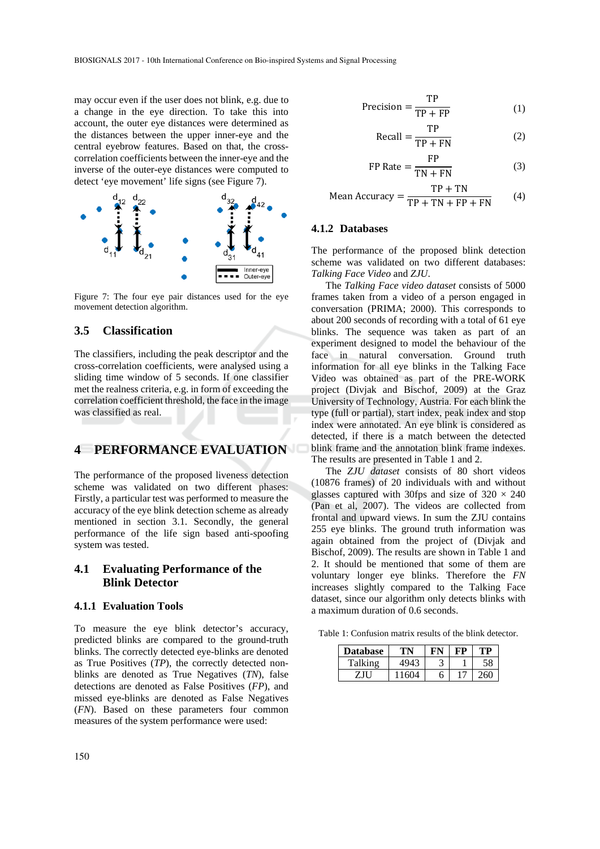may occur even if the user does not blink, e.g. due to a change in the eye direction. To take this into account, the outer eye distances were determined as the distances between the upper inner-eye and the central eyebrow features. Based on that, the crosscorrelation coefficients between the inner-eye and the inverse of the outer-eye distances were computed to detect 'eye movement' life signs (see Figure 7).



Figure 7: The four eye pair distances used for the eye movement detection algorithm.

#### **3.5 Classification**

The classifiers, including the peak descriptor and the cross-correlation coefficients, were analysed using a sliding time window of 5 seconds. If one classifier met the realness criteria, e.g. in form of exceeding the correlation coefficient threshold, the face in the image was classified as real.

### **4 PERFORMANCE EVALUATION**

The performance of the proposed liveness detection scheme was validated on two different phases: Firstly, a particular test was performed to measure the accuracy of the eye blink detection scheme as already mentioned in section 3.1. Secondly, the general performance of the life sign based anti-spoofing system was tested.

### **4.1 Evaluating Performance of the Blink Detector**

#### **4.1.1 Evaluation Tools**

To measure the eye blink detector's accuracy, predicted blinks are compared to the ground-truth blinks. The correctly detected eye-blinks are denoted as True Positives (*TP*), the correctly detected nonblinks are denoted as True Negatives (*TN*), false detections are denoted as False Positives (*FP*), and missed eye-blinks are denoted as False Negatives (*FN*). Based on these parameters four common measures of the system performance were used:

$$
Precision = \frac{TP}{TP + FP}
$$
 (1)

$$
Recall = \frac{TP}{TP + FN}
$$
 (2)

$$
FP Rate = \frac{FP}{TN + FN}
$$
 (3)

Mean Accuracy = 
$$
\frac{TP + TN}{TP + TN + FP + FN}
$$
 (4)

#### **4.1.2 Databases**

The performance of the proposed blink detection scheme was validated on two different databases: *Talking Face Video* and *ZJU*.

The *Talking Face video dataset* consists of 5000 frames taken from a video of a person engaged in conversation (PRIMA; 2000). This corresponds to about 200 seconds of recording with a total of 61 eye blinks. The sequence was taken as part of an experiment designed to model the behaviour of the face in natural conversation. Ground truth information for all eye blinks in the Talking Face Video was obtained as part of the PRE-WORK project (Divjak and Bischof, 2009) at the Graz University of Technology, Austria. For each blink the type (full or partial), start index, peak index and stop index were annotated. An eye blink is considered as detected, if there is a match between the detected blink frame and the annotation blink frame indexes. The results are presented in Table 1 and 2.

The *ZJU dataset* consists of 80 short videos (10876 frames) of 20 individuals with and without glasses captured with 30fps and size of  $320 \times 240$ (Pan et al, 2007). The videos are collected from frontal and upward views. In sum the ZJU contains 255 eye blinks. The ground truth information was again obtained from the project of (Divjak and Bischof, 2009). The results are shown in Table 1 and 2. It should be mentioned that some of them are voluntary longer eye blinks. Therefore the *FN* increases slightly compared to the Talking Face dataset, since our algorithm only detects blinks with a maximum duration of 0.6 seconds.

Table 1: Confusion matrix results of the blink detector.

| <b>Database</b> |      |   | 'D |    |  |
|-----------------|------|---|----|----|--|
| Talking         | 1942 |   |    |    |  |
| ZJU             | 1604 | h |    | 60 |  |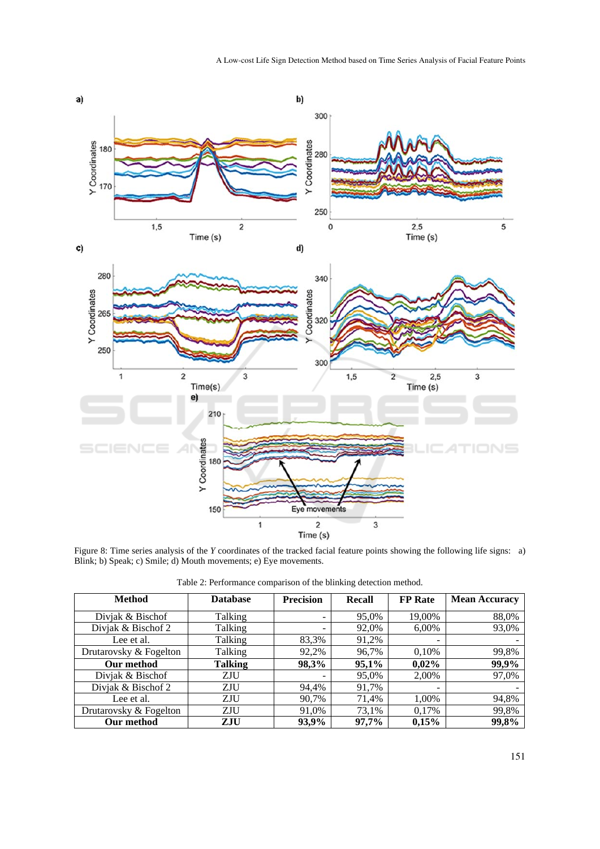

Figure 8: Time series analysis of the *Y* coordinates of the tracked facial feature points showing the following life signs: a) Blink; b) Speak; c) Smile; d) Mouth movements; e) Eye movements.

| <b>Method</b>          | <b>Database</b> | <b>Precision</b>             | <b>Recall</b> | <b>FP</b> Rate           | <b>Mean Accuracy</b> |
|------------------------|-----------------|------------------------------|---------------|--------------------------|----------------------|
| Divjak & Bischof       | Talking         | $\qquad \qquad \blacksquare$ | 95,0%         | 19,00%                   | 88,0%                |
| Divjak & Bischof 2     | Talking         |                              | 92,0%         | 6,00%                    | 93,0%                |
| Lee et al.             | Talking         | 83,3%                        | 91,2%         | $\overline{\phantom{0}}$ |                      |
| Drutarovsky & Fogelton | Talking         | 92,2%                        | 96,7%         | 0,10%                    | 99,8%                |
| Our method             | <b>Talking</b>  | 98,3%                        | 95,1%         | 0,02%                    | 99,9%                |
| Divjak & Bischof       | ZJU             |                              | 95,0%         | 2,00%                    | 97,0%                |
| Divjak & Bischof 2     | ZJU             | 94,4%                        | 91,7%         | $\overline{\phantom{0}}$ |                      |
| Lee et al.             | ZJU             | 90,7%                        | 71,4%         | 1,00%                    | 94,8%                |
| Drutarovsky & Fogelton | ZJU             | 91,0%                        | 73,1%         | 0.17%                    | 99,8%                |
| Our method             | ZJU             | 93,9%                        | 97,7%         | 0,15%                    | 99,8%                |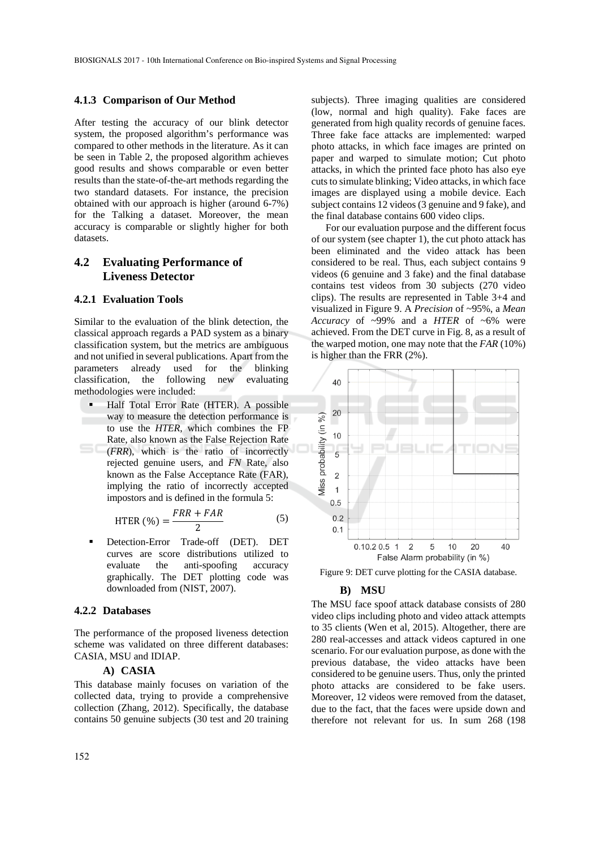#### **4.1.3 Comparison of Our Method**

After testing the accuracy of our blink detector system, the proposed algorithm's performance was compared to other methods in the literature. As it can be seen in Table 2, the proposed algorithm achieves good results and shows comparable or even better results than the state-of-the-art methods regarding the two standard datasets. For instance, the precision obtained with our approach is higher (around 6-7%) for the Talking a dataset. Moreover, the mean accuracy is comparable or slightly higher for both datasets.

## **4.2 Evaluating Performance of Liveness Detector**

#### **4.2.1 Evaluation Tools**

Similar to the evaluation of the blink detection, the classical approach regards a PAD system as a binary classification system, but the metrics are ambiguous and not unified in several publications. Apart from the parameters already used for the blinking classification, the following new evaluating methodologies were included:

 Half Total Error Rate (HTER). A possible way to measure the detection performance is to use the *HTER*, which combines the FP Rate, also known as the False Rejection Rate (*FRR*), which is the ratio of incorrectly rejected genuine users, and *FN* Rate, also known as the False Acceptance Rate (FAR), implying the ratio of incorrectly accepted impostors and is defined in the formula 5:

$$
HTER (%) = \frac{FRR + FAR}{2}
$$
 (5)

 Detection-Error Trade-off (DET). DET curves are score distributions utilized to evaluate the anti-spoofing accuracy graphically. The DET plotting code was downloaded from (NIST, 2007).

#### **4.2.2 Databases**

The performance of the proposed liveness detection scheme was validated on three different databases: CASIA, MSU and IDIAP.

#### **A) CASIA**

This database mainly focuses on variation of the collected data, trying to provide a comprehensive collection (Zhang, 2012). Specifically, the database contains 50 genuine subjects (30 test and 20 training

subjects). Three imaging qualities are considered (low, normal and high quality). Fake faces are generated from high quality records of genuine faces. Three fake face attacks are implemented: warped photo attacks, in which face images are printed on paper and warped to simulate motion; Cut photo attacks, in which the printed face photo has also eye cuts to simulate blinking; Video attacks, in which face images are displayed using a mobile device. Each subject contains 12 videos (3 genuine and 9 fake), and the final database contains 600 video clips.

For our evaluation purpose and the different focus of our system (see chapter 1), the cut photo attack has been eliminated and the video attack has been considered to be real. Thus, each subject contains 9 videos (6 genuine and 3 fake) and the final database contains test videos from 30 subjects (270 video clips). The results are represented in Table 3+4 and visualized in Figure 9. A *Precision* of ~95%, a *Mean Accuracy* of ~99% and a *HTER* of ~6% were achieved. From the DET curve in Fig. 8, as a result of the warped motion, one may note that the *FAR* (10%) is higher than the FRR (2%).



Figure 9: DET curve plotting for the CASIA database.

#### **B) MSU**

The MSU face spoof attack database consists of 280 video clips including photo and video attack attempts to 35 clients (Wen et al, 2015). Altogether, there are 280 real-accesses and attack videos captured in one scenario. For our evaluation purpose, as done with the previous database, the video attacks have been considered to be genuine users. Thus, only the printed photo attacks are considered to be fake users. Moreover, 12 videos were removed from the dataset, due to the fact, that the faces were upside down and therefore not relevant for us. In sum 268 (198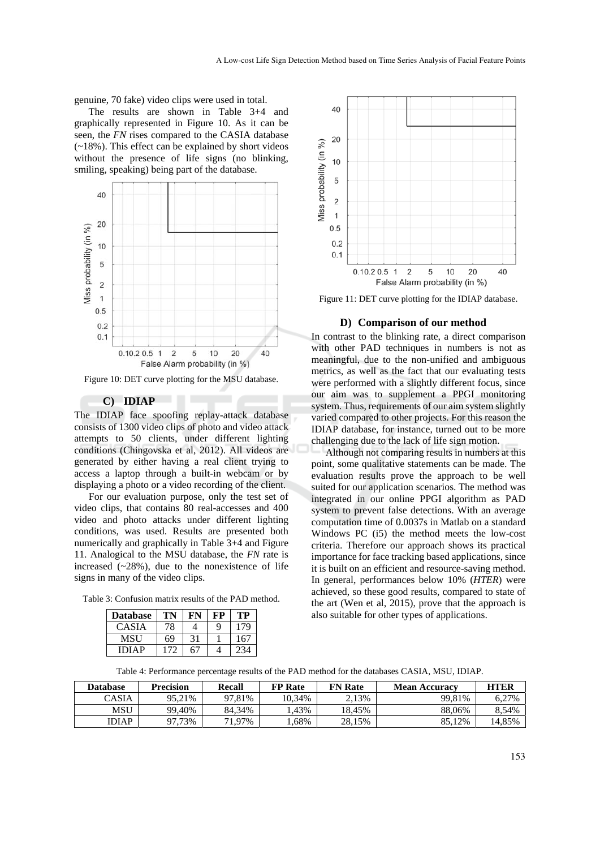genuine, 70 fake) video clips were used in total.

The results are shown in Table 3+4 and graphically represented in Figure 10. As it can be seen, the *FN* rises compared to the CASIA database (~18%). This effect can be explained by short videos without the presence of life signs (no blinking, smiling, speaking) being part of the database.



Figure 10: DET curve plotting for the MSU database.

### **C) IDIAP**

The IDIAP face spoofing replay-attack database consists of 1300 video clips of photo and video attack attempts to 50 clients, under different lighting conditions (Chingovska et al, 2012). All videos are generated by either having a real client trying to access a laptop through a built-in webcam or by displaying a photo or a video recording of the client.

For our evaluation purpose, only the test set of video clips, that contains 80 real-accesses and 400 video and photo attacks under different lighting conditions, was used. Results are presented both numerically and graphically in Table 3+4 and Figure 11. Analogical to the MSU database, the *FN* rate is increased  $(-28%)$ , due to the nonexistence of life signs in many of the video clips.

Table 3: Confusion matrix results of the PAD method.

| <b>Database</b> |    |    |   | TP        |
|-----------------|----|----|---|-----------|
| <b>CASIA</b>    | 78 |    | Q | $70^{-1}$ |
| MSU             | 69 | 31 |   | 167       |
| <b>IDIAP</b>    |    |    |   |           |



Figure 11: DET curve plotting for the IDIAP database.

#### **D) Comparison of our method**

In contrast to the blinking rate, a direct comparison with other PAD techniques in numbers is not as meaningful, due to the non-unified and ambiguous metrics, as well as the fact that our evaluating tests were performed with a slightly different focus, since our aim was to supplement a PPGI monitoring system. Thus, requirements of our aim system slightly varied compared to other projects. For this reason the IDIAP database, for instance, turned out to be more challenging due to the lack of life sign motion.

Although not comparing results in numbers at this point, some qualitative statements can be made. The evaluation results prove the approach to be well suited for our application scenarios. The method was integrated in our online PPGI algorithm as PAD system to prevent false detections. With an average computation time of 0.0037s in Matlab on a standard Windows PC (i5) the method meets the low-cost criteria. Therefore our approach shows its practical importance for face tracking based applications, since it is built on an efficient and resource-saving method. In general, performances below 10% (*HTER*) were achieved, so these good results, compared to state of the art (Wen et al, 2015), prove that the approach is also suitable for other types of applications.

Table 4: Performance percentage results of the PAD method for the databases CASIA, MSU, IDIAP.

| Database        | <b>Precision</b> | Recall | <b>FP</b> Rate | <b>FN</b> Rate | <b>Mean Accuracy</b> | HTER   |
|-----------------|------------------|--------|----------------|----------------|----------------------|--------|
| $\bigcirc$ ASIA | 95.21%           | 97.81% | 10.34%         | 2.13%          | 99.81%               | 6.27%  |
| MSU             | 99.40%           | 84.34% | .43%           | 18.45%         | 88.06%               | 8.54%  |
| IDIAP           | 97.73%           | 71.97% | .68%           | 28.15%         | 85.12%               | 14.85% |